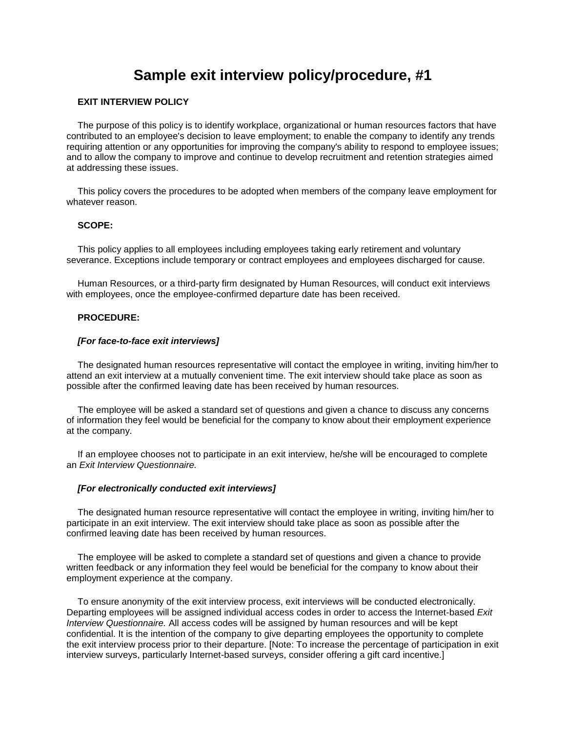# **Sample [exit interview](javascript:rJumpInDocTo() policy/procedure, #1**

## **[EXIT INTERVIEW](javascript:rJumpInDocTo() POLICY**

The purpose of this policy is to identify workplace, organizational or human resources factors that have contributed to an employee's decision to leave employment; to enable the company to identify any trends requiring attention or any opportunities for improving the company's ability to respond to employee issues; and to allow the company to improve and continue to develop recruitment and retention strategies aimed at addressing these issues.

This policy covers the procedures to be adopted when members of the company leave employment for whatever reason.

## **SCOPE:**

This policy applies to all employees including employees taking early retirement and voluntary severance. Exceptions include temporary or contract employees and employees discharged for cause.

Human Resources, or a third-party firm designated by Human Resources, will conduct [exit interviews](javascript:rJumpInDocTo() with employees, once the employee-confirmed departure date has been received.

## **PROCEDURE:**

#### *[For face-to-face [exit interviews\]](javascript:rJumpInDocTo()*

The designated human resources representative will contact the employee in writing, inviting him/her to attend an [exit interview](javascript:rJumpInDocTo() at a mutually convenient time. The [exit interview](javascript:rJumpInDocTo() should take place as soon as possible after the confirmed leaving date has been received by human resources.

The employee will be asked a standard set of questions and given a chance to discuss any concerns of information they feel would be beneficial for the company to know about their employment experience at the company.

If an employee chooses not to participate in an [exit interview,](javascript:rJumpInDocTo() he/she will be encouraged to complete an *[Exit Interview](javascript:rJumpInDocTo() Questionnaire.*

## *[For electronically conducted [exit interviews\]](javascript:rJumpInDocTo()*

The designated human resource representative will contact the employee in writing, inviting him/her to participate in an [exit interview.](javascript:rJumpInDocTo() Th[e exit interview](javascript:rJumpInDocTo() should take place as soon as possible after the confirmed leaving date has been received by human resources.

The employee will be asked to complete a standard set of questions and given a chance to provide written feedback or any information they feel would be beneficial for the company to know about their employment experience at the company.

To ensure anonymity of the [exit interview](javascript:rJumpInDocTo() process, [exit interviews](javascript:rJumpInDocTo() will be conducted electronically. Departing employees will be assigned individual access codes in order to access the Internet-based *[Exit](javascript:rJumpInDocTo()  [Interview](javascript:rJumpInDocTo() Questionnaire.* All access codes will be assigned by human resources and will be kept confidential. It is the intention of the company to give departing employees the opportunity to complete the [exit interview](javascript:rJumpInDocTo() process prior to their departure. [Note: To increase the percentage of participation in [exit](javascript:rJumpInDocTo()  [interview](javascript:rJumpInDocTo() surveys, particularly Internet-based surveys, consider offering a gift card incentive.]